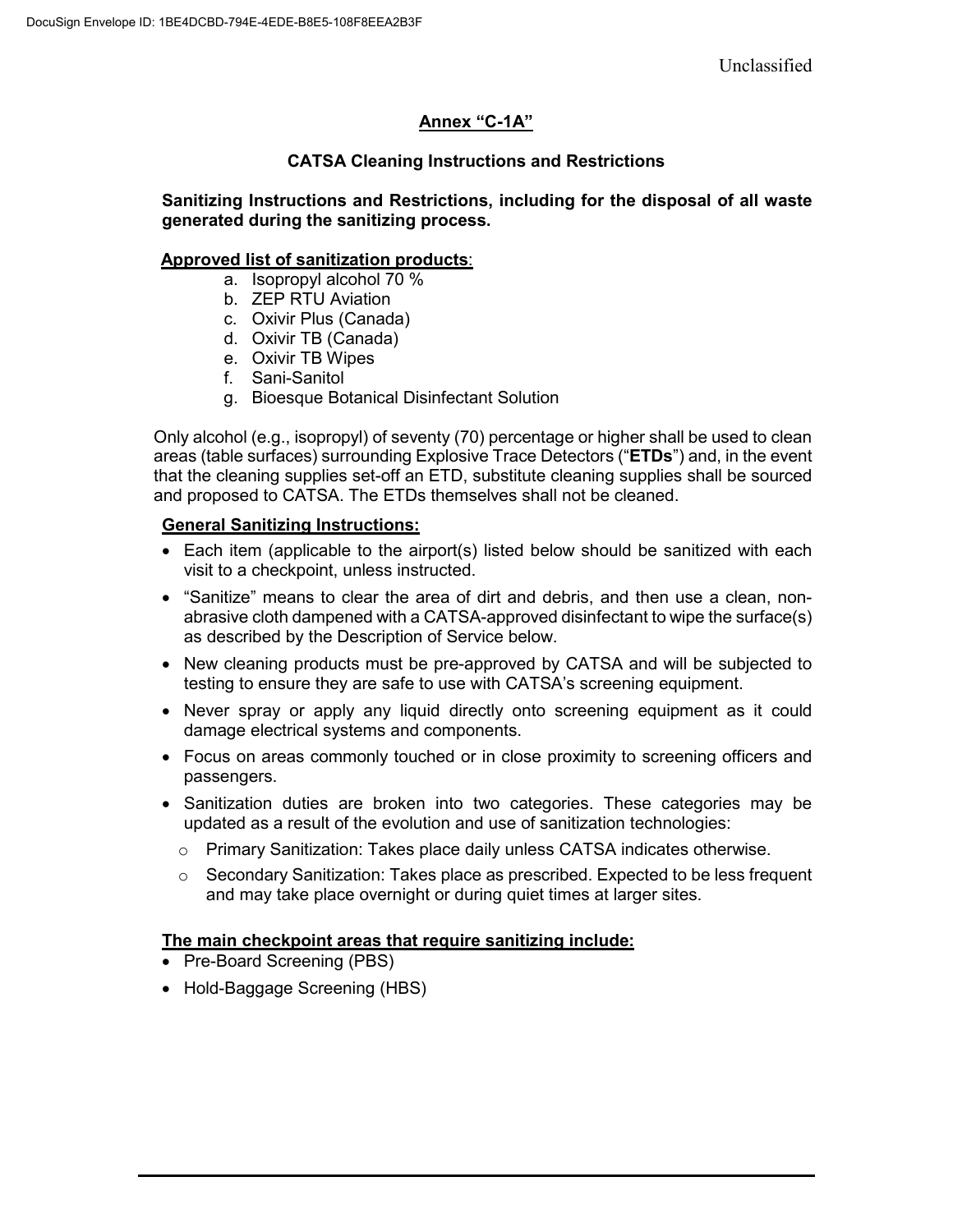Unclassified

# **Annex "C-1A"**

# **CATSA Cleaning Instructions and Restrictions**

### **Sanitizing Instructions and Restrictions, including for the disposal of all waste generated during the sanitizing process.**

### **Approved list of sanitization products**:

- a. Isopropyl alcohol 70 %
- b. ZEP RTU Aviation
- c. Oxivir Plus (Canada)
- d. Oxivir TB (Canada)
- e. Oxivir TB Wipes
- f. Sani-Sanitol
- g. Bioesque Botanical Disinfectant Solution

Only alcohol (e.g., isopropyl) of seventy (70) percentage or higher shall be used to clean areas (table surfaces) surrounding Explosive Trace Detectors ("**ETDs**") and, in the event that the cleaning supplies set-off an ETD, substitute cleaning supplies shall be sourced and proposed to CATSA. The ETDs themselves shall not be cleaned.

## **General Sanitizing Instructions:**

- Each item (applicable to the airport(s) listed below should be sanitized with each visit to a checkpoint, unless instructed.
- "Sanitize" means to clear the area of dirt and debris, and then use a clean, nonabrasive cloth dampened with a CATSA-approved disinfectant to wipe the surface(s) as described by the Description of Service below.
- New cleaning products must be pre-approved by CATSA and will be subjected to testing to ensure they are safe to use with CATSA's screening equipment.
- Never spray or apply any liquid directly onto screening equipment as it could damage electrical systems and components.
- Focus on areas commonly touched or in close proximity to screening officers and passengers.
- Sanitization duties are broken into two categories. These categories may be updated as a result of the evolution and use of sanitization technologies:
	- $\circ$  Primary Sanitization: Takes place daily unless CATSA indicates otherwise.
	- $\circ$  Secondary Sanitization: Takes place as prescribed. Expected to be less frequent and may take place overnight or during quiet times at larger sites.

### **The main checkpoint areas that require sanitizing include:**

- Pre-Board Screening (PBS)
- Hold-Baggage Screening (HBS)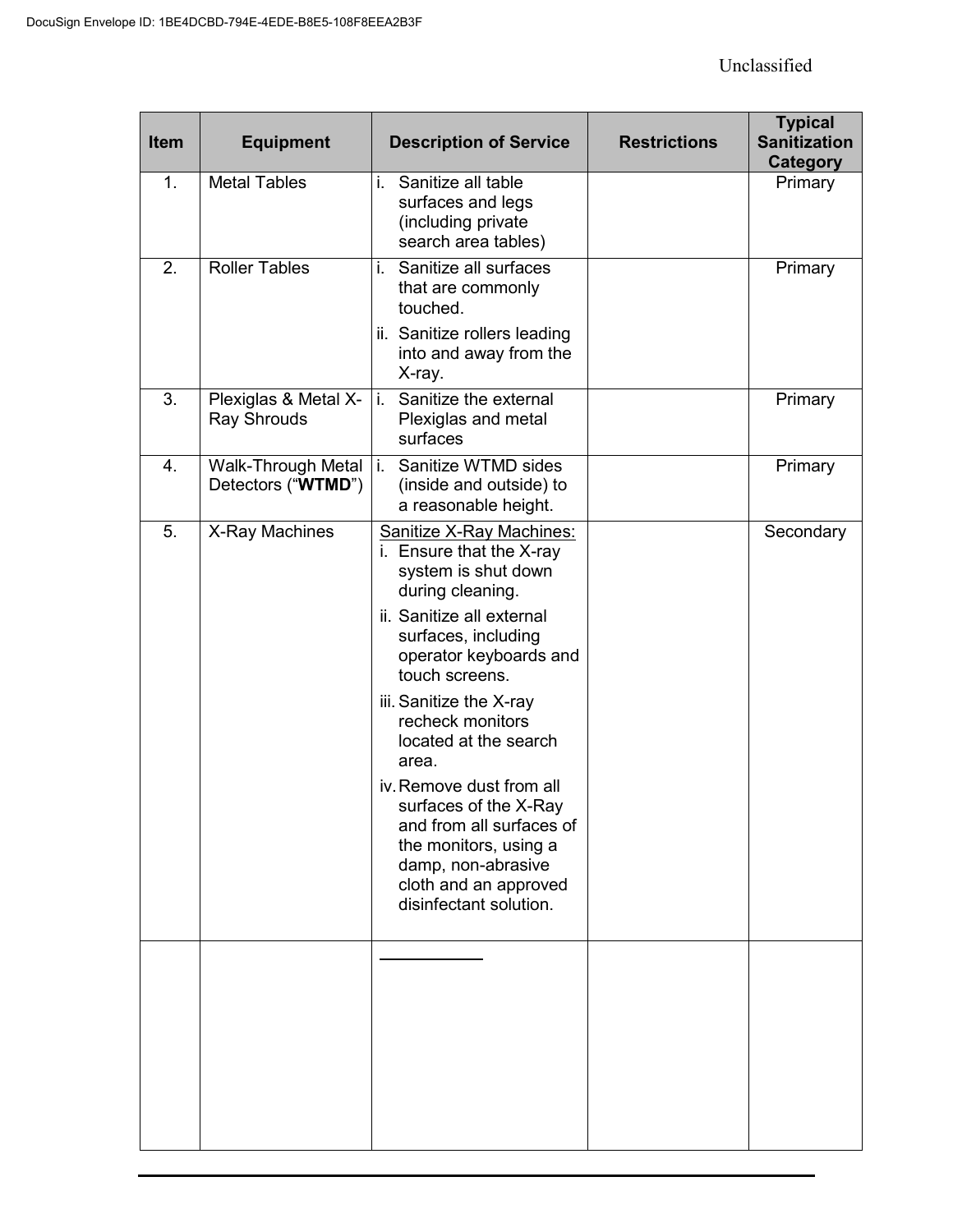| <b>Item</b> | <b>Equipment</b>                           | <b>Description of Service</b>                                                                                                                                                                                                                                                                                                                                                                                                                                       | <b>Restrictions</b> | <b>Typical</b><br><b>Sanitization</b><br><b>Category</b> |
|-------------|--------------------------------------------|---------------------------------------------------------------------------------------------------------------------------------------------------------------------------------------------------------------------------------------------------------------------------------------------------------------------------------------------------------------------------------------------------------------------------------------------------------------------|---------------------|----------------------------------------------------------|
| 1.          | <b>Metal Tables</b>                        | Sanitize all table<br>i.<br>surfaces and legs<br>(including private<br>search area tables)                                                                                                                                                                                                                                                                                                                                                                          |                     | Primary                                                  |
| 2.          | <b>Roller Tables</b>                       | Sanitize all surfaces<br>i.<br>that are commonly<br>touched.<br>ii. Sanitize rollers leading<br>into and away from the<br>X-ray.                                                                                                                                                                                                                                                                                                                                    |                     | Primary                                                  |
| 3.          | Plexiglas & Metal X-<br><b>Ray Shrouds</b> | Sanitize the external<br>i.<br>Plexiglas and metal<br>surfaces                                                                                                                                                                                                                                                                                                                                                                                                      |                     | Primary                                                  |
| 4.          | Walk-Through Metal<br>Detectors ("WTMD")   | Sanitize WTMD sides<br>j.<br>(inside and outside) to<br>a reasonable height.                                                                                                                                                                                                                                                                                                                                                                                        |                     | Primary                                                  |
| 5.          | X-Ray Machines                             | Sanitize X-Ray Machines:<br>i. Ensure that the X-ray<br>system is shut down<br>during cleaning.<br>ii. Sanitize all external<br>surfaces, including<br>operator keyboards and<br>touch screens.<br>iii. Sanitize the X-ray<br>recheck monitors<br>located at the search<br>area.<br>iv. Remove dust from all<br>surfaces of the X-Ray<br>and from all surfaces of<br>the monitors, using a<br>damp, non-abrasive<br>cloth and an approved<br>disinfectant solution. |                     | Secondary                                                |
|             |                                            |                                                                                                                                                                                                                                                                                                                                                                                                                                                                     |                     |                                                          |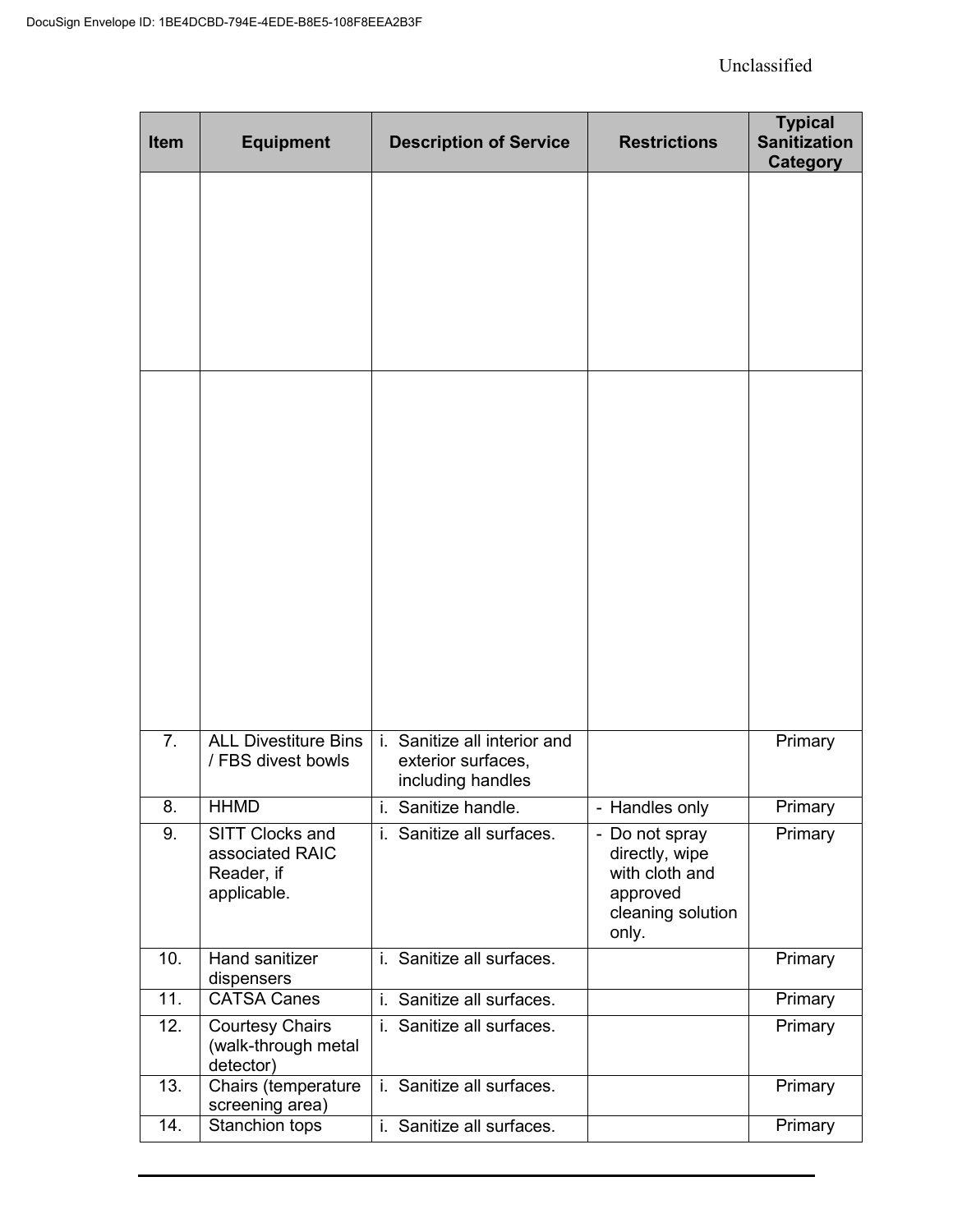| Item           | <b>Equipment</b>                                                | <b>Description of Service</b>                                                          | <b>Restrictions</b>                                                                          | <b>Typical</b><br><b>Sanitization</b><br><b>Category</b> |
|----------------|-----------------------------------------------------------------|----------------------------------------------------------------------------------------|----------------------------------------------------------------------------------------------|----------------------------------------------------------|
|                |                                                                 |                                                                                        |                                                                                              |                                                          |
|                |                                                                 |                                                                                        |                                                                                              |                                                          |
| 7 <sub>1</sub> | <b>ALL Divestiture Bins</b><br>/ FBS divest bowls               | $\mathbf{i}$ .<br>Sanitize all interior and<br>exterior surfaces,<br>including handles |                                                                                              | Primary                                                  |
| 8.             | <b>HHMD</b>                                                     | i. Sanitize handle.                                                                    | - Handles only                                                                               | Primary                                                  |
| 9.             | SITT Clocks and<br>associated RAIC<br>Reader, if<br>applicable. | i. Sanitize all surfaces.                                                              | - Do not spray<br>directly, wipe<br>with cloth and<br>approved<br>cleaning solution<br>only. | Primary                                                  |
| 10.            | Hand sanitizer<br>dispensers                                    | Sanitize all surfaces.<br>i.                                                           |                                                                                              | Primary                                                  |
| 11.            | <b>CATSA Canes</b>                                              | i. Sanitize all surfaces.                                                              |                                                                                              | Primary                                                  |
| 12.            | <b>Courtesy Chairs</b><br>(walk-through metal<br>detector)      | i. Sanitize all surfaces.                                                              |                                                                                              | Primary                                                  |
| 13.            | Chairs (temperature<br>screening area)                          | Sanitize all surfaces.<br>i.                                                           |                                                                                              | Primary                                                  |
| 14.            | Stanchion tops                                                  | i. Sanitize all surfaces.                                                              |                                                                                              | Primary                                                  |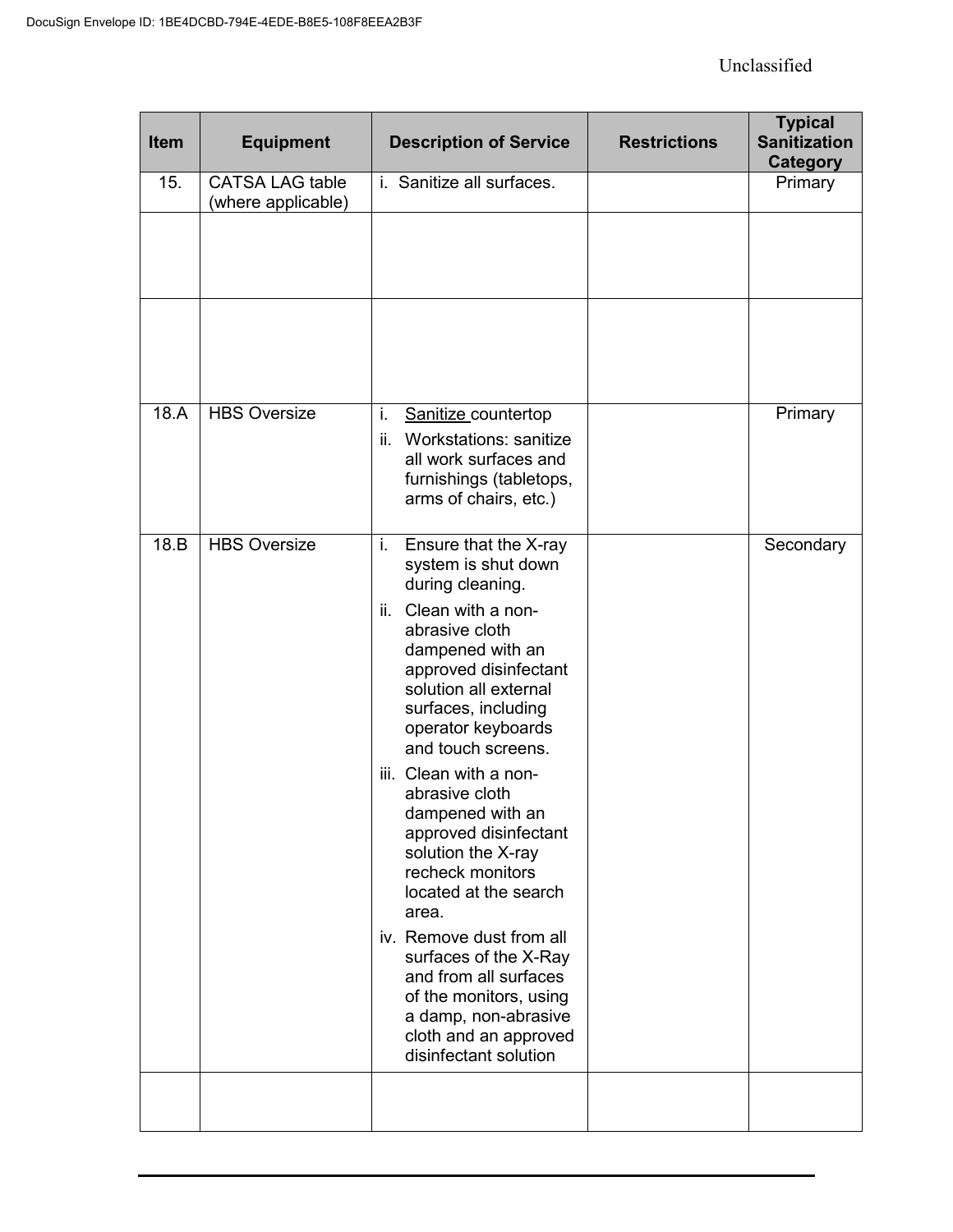| Item | <b>Equipment</b>                             | <b>Description of Service</b>                                                                                                                                                                                                                                                                                                                                                                                                                                                                                                                                                                                     | <b>Restrictions</b> | <b>Typical</b><br><b>Sanitization</b><br><b>Category</b> |
|------|----------------------------------------------|-------------------------------------------------------------------------------------------------------------------------------------------------------------------------------------------------------------------------------------------------------------------------------------------------------------------------------------------------------------------------------------------------------------------------------------------------------------------------------------------------------------------------------------------------------------------------------------------------------------------|---------------------|----------------------------------------------------------|
| 15.  | <b>CATSA LAG table</b><br>(where applicable) | i. Sanitize all surfaces.                                                                                                                                                                                                                                                                                                                                                                                                                                                                                                                                                                                         |                     | Primary                                                  |
|      |                                              |                                                                                                                                                                                                                                                                                                                                                                                                                                                                                                                                                                                                                   |                     |                                                          |
|      |                                              |                                                                                                                                                                                                                                                                                                                                                                                                                                                                                                                                                                                                                   |                     |                                                          |
| 18.A | <b>HBS Oversize</b>                          | i.<br>Sanitize_countertop<br><b>Workstations: sanitize</b><br>ii.<br>all work surfaces and<br>furnishings (tabletops,<br>arms of chairs, etc.)                                                                                                                                                                                                                                                                                                                                                                                                                                                                    |                     | Primary                                                  |
| 18.B | <b>HBS Oversize</b>                          | i.<br>Ensure that the X-ray<br>system is shut down<br>during cleaning.<br>ii. Clean with a non-<br>abrasive cloth<br>dampened with an<br>approved disinfectant<br>solution all external<br>surfaces, including<br>operator keyboards<br>and touch screens.<br>iii. Clean with a non-<br>abrasive cloth<br>dampened with an<br>approved disinfectant<br>solution the X-ray<br>recheck monitors<br>located at the search<br>area.<br>iv. Remove dust from all<br>surfaces of the X-Ray<br>and from all surfaces<br>of the monitors, using<br>a damp, non-abrasive<br>cloth and an approved<br>disinfectant solution |                     | Secondary                                                |
|      |                                              |                                                                                                                                                                                                                                                                                                                                                                                                                                                                                                                                                                                                                   |                     |                                                          |